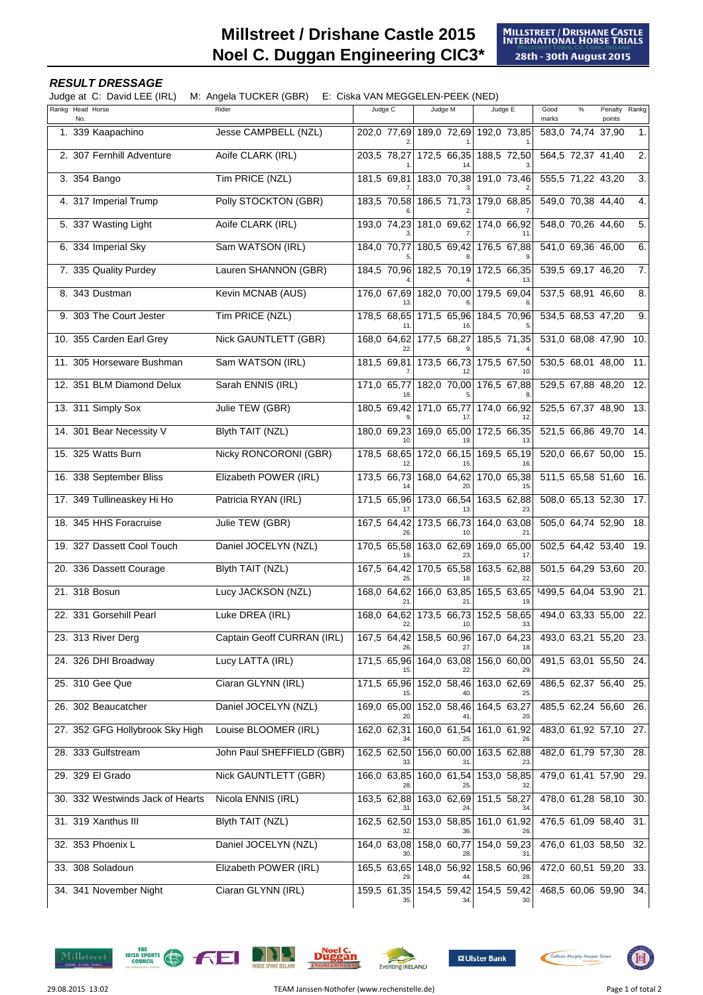## **Millstreet / Drishane Castle 2015 Noel C. Duggan Engineering CIC3\***

## **RESULT DRESSAGE**

Judge at C: David LEE (IRL) M: Angela TUCKER (GBR) E: Ciska VAN MEGGELEN-PEEK (NED)

| Rankg Head Horse<br>No.          | Rider                       | Judge C           | Judge M                                   | Judge E                 | $\%$<br>Penalty Rankg<br>Good<br>marks<br>points |
|----------------------------------|-----------------------------|-------------------|-------------------------------------------|-------------------------|--------------------------------------------------|
| 1. 339 Kaapachino                | Jesse CAMPBELL (NZL)        |                   | 202,0 77,69 189,0 72,69 192,0 73,85       |                         | 1.<br>583,0 74,74 37,90                          |
| 2. 307 Fernhill Adventure        | Aoife CLARK (IRL)           | 203,5 78,27       | 172,5 66,35                               | 188,5 72,50             | 2.<br>564,5 72,37 41,40                          |
| 3. 354 Bango                     | Tim PRICE (NZL)             | 181,5 69,81       | 183,0 70,38                               | 191.0 73.46             | $\overline{3}$ .<br>555,5 71,22 43,20            |
| 4. 317 Imperial Trump            | Polly STOCKTON (GBR)        | 183,5 70,58       | 186,5 71,73                               | 179,0 68,85             | 549,0 70,38 44,40<br>4.                          |
| 5. 337 Wasting Light             | Aoife CLARK (IRL)           | 193,0 74,23       | 181,0 69,62 174,0 66,92                   |                         | 548,0 70,26 44,60<br>5.                          |
| 6. 334 Imperial Sky              | Sam WATSON (IRL)            | 184,0 70,77       | 180.5 69.42                               | 176,5 67,88             | 541,0 69,36 46,00<br>6.                          |
| 7. 335 Quality Purdey            | Lauren SHANNON (GBR)        |                   | 184,5 70,96 182,5 70,19 172,5 66,35       |                         | 539,5 69,17 46,20<br>7.                          |
| 8. 343 Dustman                   | Kevin MCNAB (AUS)           | 176,0 67,69       | 182,0 70,00                               | 179,5 69,04             | 537,5 68,91 46,60<br>8.                          |
| 9. 303 The Court Jester          | Tim PRICE (NZL)             | 178,5 68,65       |                                           | 171,5 65,96 184,5 70,96 | 534,5 68,53 47,20<br>9.                          |
| 10. 355 Carden Earl Grey         | <b>Nick GAUNTLETT (GBR)</b> | 168,0 64,62       | 177,5 68,27                               | 185,5 71,35             | 531,0 68,08 47,90<br>10.                         |
| 11. 305 Horseware Bushman        | Sam WATSON (IRL)            | 181,5 69,81       | 173,5 66,73                               | 175.5 67.50             | 530,5 68,01 48,00<br>11.                         |
| 12. 351 BLM Diamond Delux        | Sarah ENNIS (IRL)           | 171,0 65,77       | $182,0$ 70,00                             | 176,5 67,88             | 529,5 67,88 48,20<br>12.                         |
| 13. 311 Simply Sox               | Julie TEW (GBR)             | 180,5 69,42       | 171,0 65,77                               | 174,0 66,92             | 525,5 67,37 48,90<br>13.                         |
| 14. 301 Bear Necessity V         | <b>Blyth TAIT (NZL)</b>     | 180.0 69.23       | 169,0 65,00                               | 172.5 66.35             | 521,5 66,86 49,70<br>14.                         |
| 15. 325 Watts Burn               | Nicky RONCORONI (GBR)       | 178,5 68,65       | 172,0 66,15                               | 169,5 65,19             | 520,0 66,67 50,00<br>15.                         |
| 16. 338 September Bliss          | Elizabeth POWER (IRL)       | 173,5 66,73       | 168,0 64,62                               | 170,0 65,38             | 511,5 65,58 51,60<br>16.                         |
| 17. 349 Tullineaskey Hi Ho       | Patricia RYAN (IRL)         | 171,5 65,96       | 173,0 66,54                               | 163,5 62,88             | 508,0 65,13 52,30<br>17.                         |
| 18. 345 HHS Foracruise           | Julie TEW (GBR)             | 167,5 64,42       | 173,5 66,73                               | 164,0 63,08             | 505,0 64,74 52,90<br>18.                         |
| 19. 327 Dassett Cool Touch       | Daniel JOCELYN (NZL)        | 170,5 65,58       | 163,0 62,69                               | 169,0 65,00             | 502,5 64,42 53,40<br>19.                         |
| 20. 336 Dassett Courage          | <b>Blyth TAIT (NZL)</b>     | 167,5 64,42<br>25 | 170,5 65,58                               | 163.5 62.88             | 501,5 64,29 53,60<br>20.                         |
| 21. 318 Bosun                    | Lucy JACKSON (NZL)          | 168,0 64,62<br>21 | 166,0 63,85                               | 165,5 63,65             | 1499,5 64,04 53,90<br>21.                        |
| 22. 331 Gorsehill Pearl          | Luke DREA (IRL)             | 168,0 64,62<br>22 | 173,5 66,73                               | 152,5 58,65<br>33       | 494,0 63,33 55,00<br>22.                         |
| 23. 313 River Derg               | Captain Geoff CURRAN (IRL)  |                   | 167,5 64,42 158,5 60,96 167,0 64,23       |                         | 493,0 63,21 55,20 23.                            |
| 24. 326 DHI Broadway             | Lucy LATTA (IRL)            |                   | 171,5 65,96 164,0 63,08 156,0 60,00       |                         | 491,5 63,01 55,50 24.                            |
| 25. 310 Gee Que                  | Ciaran GLYNN (IRL)          | 171,5 65,96       |                                           | 152,0 58,46 163,0 62,69 | 486,5 62,37 56,40 25.                            |
| 26. 302 Beaucatcher              | Daniel JOCELYN (NZL)        | 169,0 65,00       | 152,0 58,46 164,5 63,27                   |                         | 485,5 62,24 56,60 26.                            |
| 27. 352 GFG Hollybrook Sky High  | Louise BLOOMER (IRL)        | 162,0 62,31       | 160,0 61,54                               | 161,0 61,92             | 483,0 61,92 57,10 27.                            |
| 28. 333 Gulfstream               | John Paul SHEFFIELD (GBR)   | 162,5 62,50       |                                           | 156,0 60,00 163,5 62,88 | 482,0 61,79 57,30<br>28.                         |
| 29. 329 El Grado                 | Nick GAUNTLETT (GBR)        | 166,0 63,85       | 160,0 61,54                               | 153,0 58,85             | 479,0 61,41 57,90 29.                            |
| 30. 332 Westwinds Jack of Hearts | Nicola ENNIS (IRL)          | 163,5 62,88       | 163,0 62,69 151,5 58,27                   |                         | 478,0 61,28 58,10 30.                            |
| 31. 319 Xanthus III              | <b>Blyth TAIT (NZL)</b>     | 162,5 62,50       |                                           | 153,0 58,85 161,0 61,92 | 476,5 61,09 58,40 31.                            |
| 32. 353 Phoenix L                | Daniel JOCELYN (NZL)        | 164,0 63,08       | 158,0 60,77                               | 154,0 59,23             | 476,0 61,03 58,50 32.                            |
| 33. 308 Soladoun                 | Elizabeth POWER (IRL)       |                   | 165,5 63,65 148,0 56,92 158,5 60,96       |                         | 472,0 60,51 59,20 33.                            |
| 34. 341 November Night           | Ciaran GLYNN (IRL)          | 35.               | 159,5 61,35 154,5 59,42 154,5 59,42<br>34 | 30.                     | 468,5 60,06 59,90 34.                            |